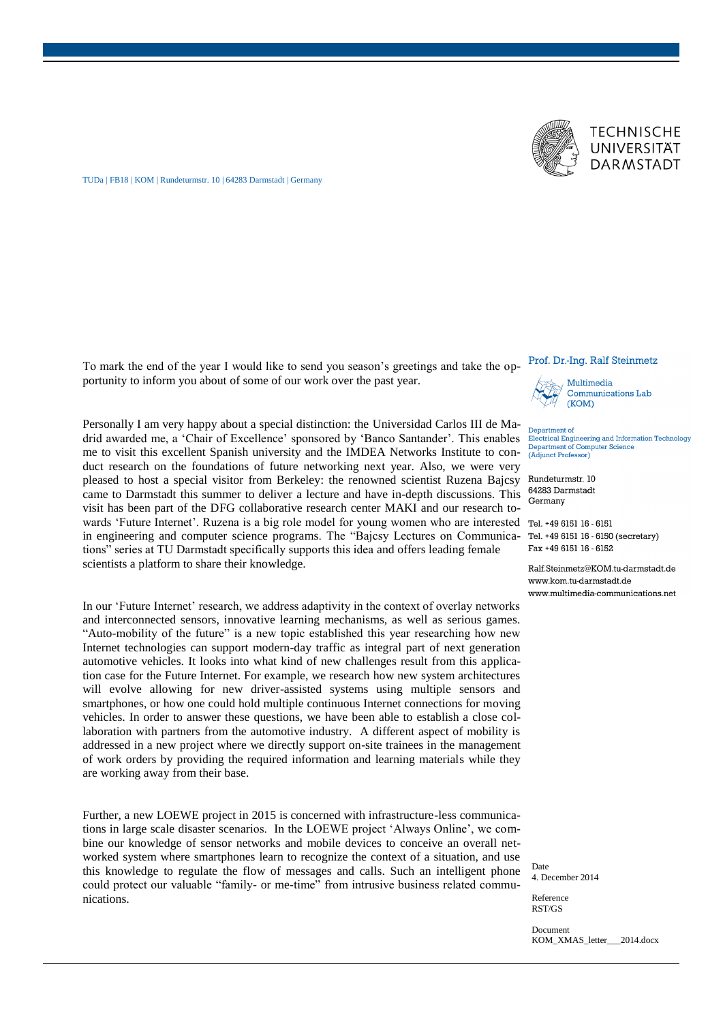



TUDa | FB18 | KOM | Rundeturmstr. 10 | 64283 Darmstadt | Germany

To mark the end of the year I would like to send you season's greetings and take the opportunity to inform you about of some of our work over the past year.

Personally I am very happy about a special distinction: the Universidad Carlos III de Madrid awarded me, a 'Chair of Excellence' sponsored by 'Banco Santander'. This enables me to visit this excellent Spanish university and the IMDEA Networks Institute to conduct research on the foundations of future networking next year. Also, we were very pleased to host a special visitor from Berkeley: the renowned scientist Ruzena Bajcsy came to Darmstadt this summer to deliver a lecture and have in-depth discussions. This visit has been part of the DFG collaborative research center MAKI and our research towards 'Future Internet'. Ruzena is a big role model for young women who are interested Tel. +49 6151 16 - 6151 in engineering and computer science programs. The "Bajcsy Lectures on Communications" series at TU Darmstadt specifically supports this idea and offers leading female scientists a platform to share their knowledge.

In our 'Future Internet' research, we address adaptivity in the context of overlay networks and interconnected sensors, innovative learning mechanisms, as well as serious games. "Auto-mobility of the future" is a new topic established this year researching how new Internet technologies can support modern-day traffic as integral part of next generation automotive vehicles. It looks into what kind of new challenges result from this application case for the Future Internet. For example, we research how new system architectures will evolve allowing for new driver-assisted systems using multiple sensors and smartphones, or how one could hold multiple continuous Internet connections for moving vehicles. In order to answer these questions, we have been able to establish a close collaboration with partners from the automotive industry. A different aspect of mobility is addressed in a new project where we directly support on-site trainees in the management of work orders by providing the required information and learning materials while they are working away from their base.

Further, a new LOEWE project in 2015 is concerned with infrastructure-less communications in large scale disaster scenarios. In the LOEWE project 'Always Online', we combine our knowledge of sensor networks and mobile devices to conceive an overall networked system where smartphones learn to recognize the context of a situation, and use this knowledge to regulate the flow of messages and calls. Such an intelligent phone could protect our valuable "family- or me-time" from intrusive business related communications.

## Prof. Dr.-Ing. Ralf Steinmetz



Multimedia **Communications Lab**  $(KOM)$ 

Department of Electrical Engineering and Information Technology<br>Department of Computer Science (Adjunct Professor)

Rundeturmstr. 10 64283 Darmstadt Germany

Tel. +49 6151 16 - 6150 (secretary) Fax +49 6151 16 - 6152

Ralf.Steinmetz@KOM.tu-darmstadt.de www.kom.tu-darmstadt.de www.multimedia-communications.net

Date 4. December 2014

Reference RST/GS

Document KOM\_XMAS\_letter\_\_\_2014.docx